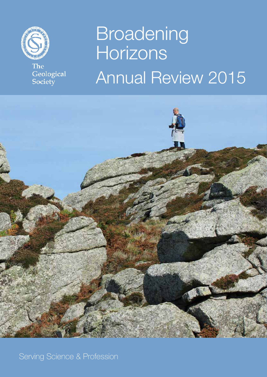

The Geological<br>Society

# Broadening Horizons Annual Review 2015



Serving Science & Profession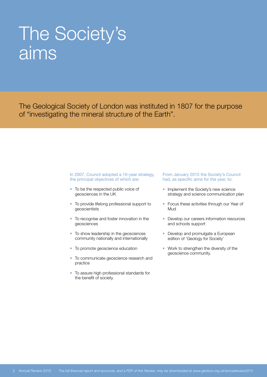### The Society's aims

The Geological Society of London was instituted in 1807 for the purpose of "investigating the mineral structure of the Earth".

#### In 2007, Council adopted a 10-year strategy, the principal objectives of which are:

- To be the respected public voice of geosciences in the UK
- To provide lifelong professional support to geoscientists
- To recognise and foster innovation in the geosciences
- To show leadership in the geosciences community nationally and internationally
- To promote geoscience education
- To communicate geoscience research and practice
- To assure high professional standards for the benefit of society.

#### From January 2015 the Society's Council had, as specific aims for the year, to:

- Implement the Society's new science strategy and science communication plan
- Focus these activities through our Year of Mud
- Develop our careers information resources and schools support
- Develop and promulgate a European edition of 'Geology for Society'
- Work to strengthen the diversity of the geoscience community.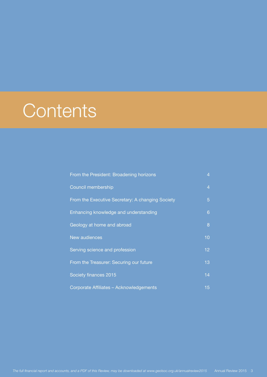### **Contents**

| From the President: Broadening horizons          | 4              |
|--------------------------------------------------|----------------|
| Council membership                               | $\overline{4}$ |
| From the Executive Secretary: A changing Society | 5              |
| Enhancing knowledge and understanding            | 6              |
| Geology at home and abroad                       | 8              |
| New audiences                                    | 10             |
| Serving science and profession                   | 12             |
| From the Treasurer: Securing our future          | 13             |
| Society finances 2015                            | 14             |
| Corporate Affiliates - Acknowledgements          | 15             |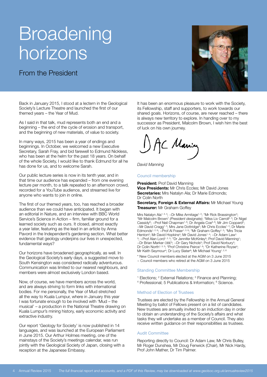### Broadening horizons

#### From the President

Back in January 2015, I stood at a lectern in the Geological Society's Lecture Theatre and launched the first of our themed years – the Year of Mud.

As I said in that talk, mud represents both an end and a beginning – the end of the cycle of erosion and transport, and the beginning of new materials, of value to society.

In many ways, 2015 has been a year of endings and beginnings. In October, we welcomed a new Executive Secretary, Sarah Fray, and bid farewell to Edmund Nickless, who has been at the helm for the past 18 years. On behalf of the whole Society, I would like to thank Edmund for all he has done for us, and to welcome Sarah.

Our public lecture series is now in its tenth year, and in that time our audience has expanded – from one evening lecture per month, to a talk repeated to an afternoon crowd, recorded for a YouTube audience, and streamed live for anyone who wants to join in online.

The first of our themed years, too, has reached a broader audience than we could have anticipated. It began with an editorial in Nature, and an interview with BBC World Service's Science in Action – firm, familiar ground for a learned society such as ours. It closed, almost exactly a year later, featuring as the lead in an article by Anna Pavord in the Independent's gardening section. What better evidence that geology underpins our lives in unexpected, fundamental ways?

Our horizons have broadened geographically, as well. In the Geological Society's early days, a suggested move to South Kensington was considered radically adventurous. Communication was limited to our nearest neighbours, and members were almost exclusively London based.

Now, of course, we have members across the world, and are always striving to form links with international bodies. For me personally, the Year of Mud stretched all the way to Kuala Lumpur, where in January this year I was fortunate enough to be involved with 'Mud – the musical' – a production in the National Theatre drawing on Kuala Lumpur's mining history, early economic activity and extractive industry.

Our report 'Geology for Society' is now published in 14 languages, and was launched at the European Parliament in June 2015. Our Arthur Holmes meeting, one of the mainstays of the Society's meetings calendar, was run jointly with the Geological Society of Japan, closing with a reception at the Japanese Embassy.

It has been an enormous pleasure to work with the Society, its Fellowship, staff and supporters, to work towards our shared goals. Horizons, of course, are never reached – there is always new territory to explore. In handing over to my successor as President, Malcolm Brown, I wish him the best of luck on his own journey.

JC Maning

*David Manning*

Council membership

**President: Prof David Manning Vice Presidents:** Mr Chris Eccles; Mr David Jones **Secretaries:** Mrs Natalyn Ala; Dr Marie Edmonds; Dr Colin North

**Secretary, Foreign & External Affairs:** Mr Michael Young **Treasurer:** Mr Graham Goffey

Mrs Natalyn Ala<sup>1, 3, 4</sup>; ~Dr Mike Armitage<sup>1, 2</sup>; \*Mr Rick Brassington<sup>4</sup>; \*Mr Malcolm Brown1 *(President designate)*; \*Miss Liv Carroll2, 4; Dr Nigel Cassidy<sup>6</sup>; ~Prof Neil Chapman<sup>1, 6</sup>; Dr Angela Coe<sup>5, 6</sup>; Mr Jim Coppard<sup>4</sup>; ~Mr David Cragg<sup>1, 4</sup>; Mrs Jane Dottridge<sup>5</sup>; Mr Chris Eccles<sup>1, 4</sup>; Dr Marie Edmonds<sup>1, 2, 6</sup>; ~Prof Al Fraser<sup>1, 3, 6</sup>; \*Mr Graham Goffey<sup>1, 3</sup>; \*Mrs Tricia Henton<sup>2</sup>; Mr David Hopkins<sup>4</sup>; Mr David Jones<sup>1, 4</sup>; ~Dr Adam Law<sup>1,</sup><br><sup>3</sup>; ~Prof Alan Lord<sup>1, 2, 3</sup>; \*Dr Jennifer McKinley<sup>5</sup>; Prof David Manning<sup>1</sup>; ~Dr Brian Marker OBE<sup>5</sup>; ~Dr Gary Nichols<sup>5</sup>; Prof David Norbury<sup>2</sup>; Dr Colin North<sup>1, 3, 5</sup>; \*Prof Christine Peirce<sup>1, 6</sup>; \*Dr Katherine Royse<sup>4</sup>; Mr Keith Seymour<sup>4</sup>; Dr Lucy Slater<sup>6</sup>; Mr Michael Young<sup>1, 2, 6</sup>

- \* New Council members elected at the AGM on 3 June 2015
- $\sim$  Council members who retired at the AGM on 3 June 2015

#### Standing Committee Membership

- <sup>1</sup> Elections; 2 External Relations; 3 Finance and Planning; 4 Professional; 5 Publications & Information; 6 Science.
- 

#### Method of Election of Trustees

Trustees are elected by the Fellowship in the Annual General Meeting by ballot of Fellows present on a list of candidates. New trustees are annually invited to an induction day in order to obtain an understanding of the Society's affairs and what tasks they will undertake as a member of Council. They also receive written guidance on their responsibilities as trustees.

#### Audit Committee

Reporting directly to Council: Dr Adam Law, Mr Chris Bulley, Mr Roger Dunshea, Mr Doug Fenwick (Chair), Mr Nick Hardy, Prof John Mather, Dr Tim Palmer.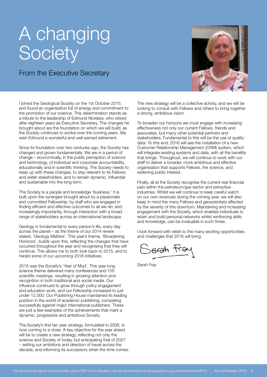### A changing **Society**

#### From the Executive Secretary

I joined the Geological Society on the 1st October 2015, and found an organisation full of energy and commitment to the promotion of our science. This determination stands as a tribute to the leadership of Edmund Nickless, who retired after eighteen years as Executive Secretary. The changes he brought about are the foundation on which we will build, as the Society continues to evolve over the coming years. We wish Edmund a wonderful and well earned retirement.

Since its foundation over two centuries ago, the Society has changed and grown fundamentally. We are in a period of change – economically, in the public perception of science and technology, of individual and corporate accountability, educationally and in scientific thinking. The Society needs to keep up with these changes, to stay relevant to its Fellows and wider stakeholders, and to remain dynamic, influential and sustainable into the long term.

The Society is a people and knowledge 'business.' It is built upon the synergies brought about by a passionate and committed Fellowship; by staff who are engaged in finding efficient and effective outcomes to all we do; and, increasingly importantly, through interaction with a broad range of stakeholders across an international landscape.

Geology is fundamental to every person's life, every day across the planet – as the theme of our 2014 review stated, 'Geology Matters'. This year's theme, 'Broadening Horizons', builds upon this, reflecting the changes that have occurred throughout the year and recognising that they will continue. This allows me to both look back to 2015, and to herald some of our upcoming 2016 initiatives.

2015 was the Society's 'Year of Mud'. This year long science theme delivered many conferences and 105 scientific meetings, resulting in growing attention and recognition in both traditional and social media. Our influence continued to grow through policy engagement and education work, and our Fellowship increased to just under 12,000. Our Publishing House maintained its leading position in the world of academic publishing, competing successfully against major international publishers. These are just a few examples of the achievements that mark a dynamic, progressive and ambitious Society.

The Society's first ten year strategy, formulated in 2006, is now coming to a close. A key objective for the year ahead will be to create a new strategy, reflecting not only the science and Society of today, but anticipating that of 2027 – setting our ambitions and direction of travel across the decade, and informing its successors when the time comes.



The new strategy will be a collective activity, and we will be looking to consult with Fellows and others to bring together a strong, ambitious vision.

To broaden our horizons we must engage with increasing effectiveness not only our current Fellows, friends and associates, but many other potential partners and stakeholders. Fundamental to this will be the use of quality data. To this end, 2016 will see the installation of a new Customer Relationship Management (CRM) system, which will integrate existing systems and data, with all the benefits that brings. Throughout, we will continue to work with our staff to deliver a broader, more ambitious and effective organisation that supports Fellows, the science, and widening public interest.

Finally, all at the Society recognise the current real financial pain within the petroleum/gas sector and extractive industries. Whilst we will continue to keep careful watch on our own revenues during the coming year, we will also keep in mind the many Fellows and geoscientists affected by the severity of this downturn. Maintaining and increasing engagement with the Society, which enables individuals to retain and build personal networks whilst reinforcing skills and knowledge, can be invaluable in such times.

I look forward with relish to the many exciting opportunities and challenges that 2016 will bring.

derah tra

*Sarah Fray*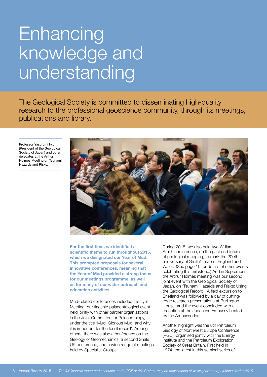# **Enhancing** knowledge and understanding

The Geological Society is committed to disseminating high-quality research to the professional geoscience community, through its meetings, publications and library.

Professor Yasufumi Iryu (President of the Geological Society of Japan) and other delegates at the Arthur Holmes Meeting on Tsunami Hazards and Risks.



**For the first time, we identified a scientific theme to run throughout 2015, which we designated our Year of Mud. This prompted proposals for several innovative conferences, meaning that the Year of Mud provided a strong focus for our meetings programme, as well as for many of our wider outreach and education activities.**

Mud-related conferences included the Lyell Meeting, our flagship palaeontological event held jointly with other partner organisations in the Joint Committee for Palaeontology, under the title 'Mud, Glorious Mud, and why it is important for the fossil record'. Among others, there was also a conference on the Geology of Geomechanics, a second Shale UK conference, and a wide range of meetings held by Specialist Groups.

During 2015, we also held two William Smith conferences, on the past and future of geological mapping, to mark the 200th anniversary of Smith's map of England and Wales. (See page 10 for details of other events celebrating this milestone.) And in September, the Arthur Holmes meeting was our second joint event with the Geological Society of Japan, on 'Tsunami Hazards and Risks: Using the Geological Record'. A field excursion to Shetland was followed by a day of cuttingedge research presentations at Burlington House, and the event concluded with a reception at the Japanese Embassy hosted by the Ambassador.

Another highlight was the 8th Petroleum Geology of Northwest Europe Conference (PGC), organised jointly with the Energy Institute and the Petroleum Exploration Society of Great Britain. First held in 1974, the latest in this seminal series of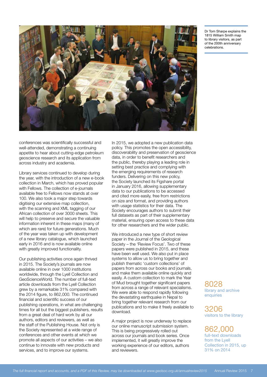

Dr Tom Sharpe explains the 1815 William Smith map to library visitors, as part of the 200th anniversary celebrations.

conferences was scientifically successful and well-attended, demonstrating a continuing appetite to hear about cutting-edge petroleum geoscience research and its application from across industry and academia.

Library services continued to develop during the year, with the introduction of a new e-book collection in March, which has proved popular with Fellows. The collection of e-journals available free to Fellows now stands at over 100. We also took a major step towards digitising our extensive map collection, with the scanning and XML tagging of our African collection of over 3000 sheets. This will help to preserve and secure the valuable information inherent in these maps (many of which are rare) for future generations. Much of the year was taken up with development of a new library catalogue, which launched early in 2016 and is now available online with greatly improved functionality.

Our publishing activities once again thrived in 2015. The Society's journals are now available online in over 1000 institutions worldwide, through the Lyell Collection and GeoScienceWorld. The number of full-text article downloads from the Lyell Collection grew by a remarkable 31% compared with the 2014 figure, to 862,000. The continued financial and scientific success of our publishing operations, in what are challenging times for all but the biggest publishers, results from a great deal of hard work by all our authors, editors and reviewers, as well as the staff of the Publishing House. Not only is the Society represented at a wide range of conferences and other events at which we promote all aspects of our activities – we also continue to innovate with new products and services, and to improve our systems.

In 2015, we adopted a new publication data policy. This promotes the open accessibility, discoverability and preservation of geoscience data, in order to benefit researchers and the public, thereby playing a leading role in setting best practice and complying with the emerging requirements of research funders. Delivering on this new policy, the Society launched its Figshare portal in January 2016, allowing supplementary data to our publications to be accessed and cited more easily, free from restrictions on size and format, and providing authors with usage statistics for their data. The Society encourages authors to submit their full datasets as part of their supplementary material, ensuring open access to these data for other researchers and the wider public.

We introduced a new type of short review paper in the Journal of the Geological Society – the 'Review Focus'. Two of these papers were published in 2015, and these have been well used. We also put in place systems to allow us to bring together and publish thematic 'custom collections' of papers from across our books and journals, and make them available online quickly and easily. A custom collection to mark the Year of Mud brought together significant papers from across a range of relevant specialisms. We were able to respond rapidly following the devastating earthquake in Nepal to bring together relevant research from our publications and to make it freely available to download.

A major project is now underway to replace our online manuscript submission system. This is being progressively rolled out across our journals and book series. Once implemented, it will greatly improve the working experience of our editors, authors and reviewers.

8028 library and archive enquiries

3206 visitors to the library

862,000 full-text downloads from the Lyell Collection in 2015, up 31% on 2014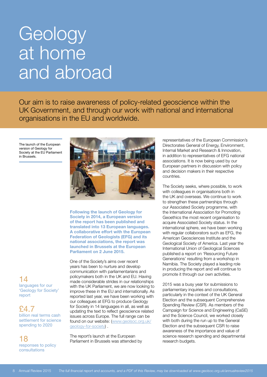### **Geology** at home and abroad

Our aim is to raise awareness of policy-related geoscience within the UK Government, and through our work with national and international organisations in the EU and worldwide.

The launch of the European version of Geology for Society at the EU Parliament in Brussels.



**Following the launch of Geology for Society in 2014, a European version of the report has been published and translated into 13 European languages. A collaborative effort with the European Federation of Geologists (EFG) and its national associations, the report was launched in Brussels at the European Parliament on 2 June 2015.** 

One of the Society's aims over recent years has been to nurture and develop communication with parliamentarians and policymakers both in the UK and EU. Having made considerable strides in our relationships with the UK Parliament, we are now looking to improve these in the EU and internationally. As reported last year, we have been working with our colleagues at EFG to produce Geology for Society in 14 languages in all, as well as updating the text to reflect geoscience related issues across Europe. The full range can be found on our website: (www.geolsoc.org.uk/ geology-for-society) .

The report's launch at the European Parliament in Brussels was attended by

representatives of the European Commission's Directorates General of Energy, Environment, Internal Market and Research & Innovation, in addition to representatives of EFG national associations. It is now being used by our European partners in discussion with policy and decision makers in their respective countries.

The Society seeks, where possible, to work with colleagues in organisations both in the UK and overseas. We continue to work to strengthen these partnerships through our Associated Society programme, with the International Association for Promoting Geoethics the most recent organisation to acquire Associated Society status. In the international sphere, we have been working with regular collaborators such as EFG, the American Geosciences Institute and the Geological Society of America. Last year the International Union of Geological Sciences published a report on 'Resourcing Future Generations' resulting from a workshop in Namibia. The Society played a leading role in producing the report and will continue to promote it through our own activities.

2015 was a busy year for submissions to parliamentary inquiries and consultations, particularly in the context of the UK General Election and the subsequent Comprehensive Spending Review (CSR). As members of the Campaign for Science and Engineering (CaSE) and the Science Council, we worked closely with both during the run up to the General Election and the subsequent CSR to raise awareness of the importance and value of science research spending and departmental research budgets.

#### 14 languages for our 'Geology for Society' report

£4.7

billion real terms cash settlement for science spending to 2020

#### 18 responses to policy consultations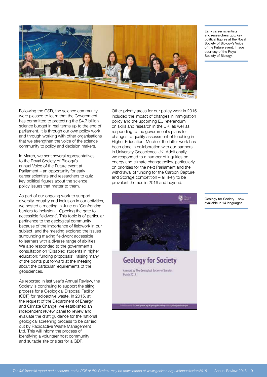

Early career scientists and researchers quiz key political figures at the Royal Society of Biology's Voice of the Future event. Image courtesy of the Royal Society of Biology.

Following the CSR, the science community were pleased to learn that the Government has committed to protecting the £4.7 billion science budget in real terms up to the end of parliament. It is through our own policy work and through working with other organisations that we strengthen the voice of the science community to policy and decision makers.

In March, we sent several representatives to the Royal Society of Biology's annual Voice of the Future event at Parliament – an opportunity for early career scientists and researchers to quiz key political figures about the science policy issues that matter to them.

As part of our ongoing work to support diversity, equality and inclusion in our activities, we hosted a meeting in June on 'Confronting barriers to inclusion – Opening the gate to accessible fieldwork'. This topic is of particular pertinence to the geological community because of the importance of fieldwork in our subject, and the meeting explored the issues surrounding making fieldwork accessible to learners with a diverse range of abilities. We also responded to the government's consultation on 'Disabled students in higher education: funding proposals', raising many of the points put forward at the meeting about the particular requirements of the geosciences.

As reported in last year's Annual Review, the Society is continuing to support the siting process for a Geological Disposal Facility (GDF) for radioactive waste. In 2015, at the request of the Department of Energy and Climate Change, we established an independent review panel to review and evaluate the draft guidance for the national geological screening process to be carried out by Radioactive Waste Management Ltd. This will inform the process of identifying a volunteer host community and suitable site or sites for a GDF.

Other priority areas for our policy work in 2015 included the impact of changes in immigration policy and the upcoming EU referendum on skills and research in the UK, as well as responding to the government's plans for changes to quality assessment of teaching in Higher Education. Much of the latter work has been done in collaboration with our partners in University Geoscience UK. Additionally, we responded to a number of inquiries on energy and climate change policy, particularly on priorities for the next Parliament and the withdrawal of funding for the Carbon Capture and Storage competition – all likely to be prevalent themes in 2016 and beyond.



Geology for Society – now available in 14 languages.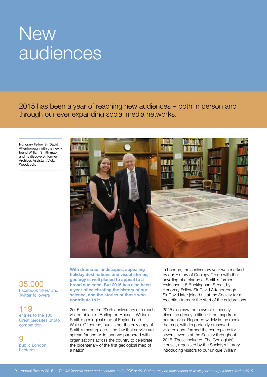### **New** audiences

2015 has been a year of reaching new audiences – both in person and through our ever expanding social media networks.

Honorary Fellow Sir David Attenborough with the newly found William Smith map, and its discoverer, former Archives Assistant Vicky Woodcock.



#### 35,000 Facebook 'likes' and Twitter followers

119 entries to the 100 Great Geosites photo competition

<u>q</u> public London Lectures

**With dramatic landscapes, appealing holiday destinations and visual stories, geology is well placed to appeal to a broad audience. But 2015 has also been a year of celebrating the history of our science, and the stories of those who contribute to it.**

2015 marked the 200th anniversary of a much visited object at Burlington House – William Smith's geological map of England and Wales. Of course, ours is not the only copy of Smith's masterpiece – the few that survive are spread far and wide, and we partnered with organisations across the country to celebrate the bicentenary of the first geological map of a nation.

In London, the anniversary year was marked by our History of Geology Group with the unveiling of a plaque at Smith's former residence, 15 Buckingham Street, by Honorary Fellow Sir David Attenborough. Sir David later joined us at the Society for a reception to mark the start of the celebrations.

2015 also saw the news of a recently discovered early edition of the map from our archives. Reported widely in the media, the map, with its perfectly preserved vivid colours, formed the centrepiece for several events at the Society throughout 2015. These included 'The Geologists' House', organised by the Society's Library, introducing visitors to our unique William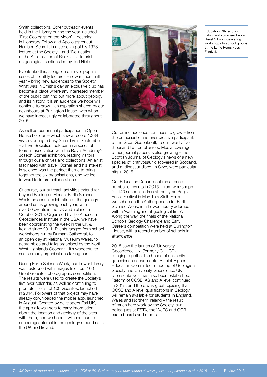Smith collections. Other outreach events held in the Library during the year included 'First Geologist on the Moon' – beaming in Honorary Fellow and Apollo astronaut Harrison Schmitt in a screening of his 1973 lecture at the Society – and 'Delineation of the Stratification of Rocks' – a tutorial on geological sections led by Ted Nield.

Events like this, alongside our ever popular series of monthly lectures – now in their tenth year – bring new audiences to the Society. What was in Smith's day an exclusive club has become a place where any interested member of the public can find out more about geology and its history. It is an audience we hope will continue to grow – an aspiration shared by our neighbours at Burlington House, with whom we have increasingly collaborated throughout 2015.

As well as our annual participation in Open House London – which saw a record 1,384 visitors during a busy Saturday in September – all five Societies took part in a series of tours in association with the Royal Academy's Joseph Cornell exhibition, leading visitors through our archives and collections. An artist fascinated with travel, Cornell and his interest in science was the perfect theme to bring together the six organisations, and we look forward to future collaborations.

Of course, our outreach activities extend far beyond Burlington House. Earth Science Week, an annual celebration of the geology around us, is growing each year, with over 50 events in the UK and Ireland in October 2015. Organised by the American Geosciences Institute in the USA, we have been coordinating the week in the UK & Ireland since 2011. Events ranged from school workshops run by Durham Cathedral, to an open day at National Museum Wales, to georambles and talks organised by the North West Highlands Geopark – it's wonderful to see so many organisations taking part.

During Earth Science Week, our Lower Library was festooned with images from our 100 Great Geosites photographic competition. The results were used to create the Society's first ever calendar, as well as continuing to promote the list of 100 Geosites, launched in 2014. Followers of that project may have already downloaded the mobile app, launched in August. Created by developers Esri UK, the app allows users to carry information about the location and geology of the sites with them, and we hope it will continue to encourage interest in the geology around us in the UK and Ireland.



Our online audience continues to grow – from the enthusiastic and ever creative participants of the Great Geobakeoff, to our twenty five thousand twitter followers. Media coverage of our journal papers is also growing – the Scottish Journal of Geology's news of a new species of Ichthyosaur discovered in Scotland, and a 'dinosaur disco' in Skye, were particular hits in 2015.

Our Education Department ran a record number of events in 2015 – from workshops for 140 school children at the Lyme Regis Fossil Festival in May, to a Sixth Form workshop on the Anthropocene for Earth Science Week, in a Lower Library adorned with a 'washing line of geological time'. Along the way, the finals of the National Schools Geology Challenge and Early Careers competition were held at Burlington House, with a record number of schools in attendance.

2015 saw the launch of 'University Geoscience UK' (formerly CHUGD), bringing together the heads of university geoscience departments. A Joint Higher Education Committee, made up of Geological Society and University Geoscience UK representatives, has also been established. Reform of GCSE, AS and A level continued in 2015, and there was great rejoicing that GCSE and A level qualifications in Geology will remain available for students in England, Wales and Northern Ireland – the result of much hard work by the Society, our colleagues at ESTA, the WJEC and OCR exam boards and others.

Education Officer Judi Lakin, and volunteer Fellow Hazel Gibson, delivering workshops to school groups at the Lyme Regis Fossil Festival.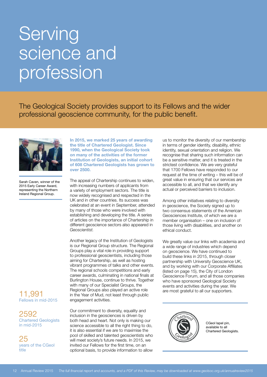### **Serving** science and profession

The Geological Society provides support to its Fellows and the wider professional geoscience community, for the public benefit.



Sarah Caven, winner of the 2015 Early Career Award, representing the Northern Ireland Regional Group.

### Fellows in mid-2015

2592 Chartered Geologists in mid-2015

25 years of the CGeol title

**In 2015, we marked 25 years of awarding the title of Chartered Geologist. Since 1990, when the Geological Society took on many of the activities of the former Institution of Geologists, an initial cohort of 608 Chartered Geologists has grown to over 2500.** 

The appeal of Chartership continues to widen, with increasing numbers of applicants from a variety of employment sectors. The title is now widely recognised and respected in the UK and in other countries. Its success was celebrated at an event in September, attended by many of those who were involved with establishing and developing the title. A series of articles on the importance of Chartership in different geoscience sectors also appeared in *Geoscientist.*

Another legacy of the Institution of Geologists is our Regional Group structure. The Regional Groups play a vital role in providing support to professional geoscientists, including those aiming for Chartership, as well as hosting vibrant programmes of talks and other events. The regional schools competitions and early career awards, culminating in national finals at Burlington House, continue to thrive. Together with many of our Specialist Groups, the Regional Groups also played an active role **11,991** Hegional Groups also played an active role are most grateful to all our supporters.<br>**11,991** in the Year of Mud, not least through public engagement activities.

> Our commitment to diversity, equality and inclusion in the geosciences is driven by both head and heart. Not only is making our science accessible to all the right thing to do, it is also essential if we are to maximise the pool of skilled and talented geoscientists who will meet society's future needs. In 2015, we invited our Fellows for the first time, on an optional basis, to provide information to allow

us to monitor the diversity of our membership in terms of gender identity, disability, ethnic identity, sexual orientation and religion. We recognise that sharing such information can be a sensitive matter, and it is treated in the strictest confidence. We are very grateful that 1700 Fellows have responded to our request at the time of writing – this will be of great value in ensuring that our services are accessible to all, and that we identify any actual or perceived barriers to inclusion.

Among other initiatives relating to diversity in geoscience, the Society signed up to two consensus statements of the American Geosciences Institute, of which we are a member organisation – one on inclusion of those living with disabilities, and another on ethical conduct.

We greatly value our links with academia and a wide range of industries which depend on geoscience. We have continued to build these links in 2015, through closer partnership with University Geoscience UK, and by working with our Corporate Affiliates (listed on page 15), the City of London Geoscience Forum, and all those companies who have sponsored Geological Society events and activities during the year. We



CGeol lapel pin, available to all Chartered Geologists.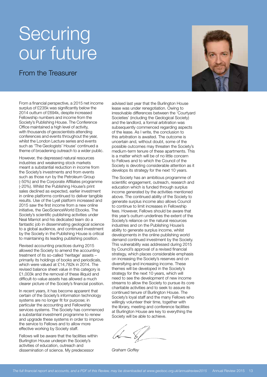### **Securing** our future

From the Treasurer

From a financial perspective, a 2015 net income surplus of £235k was significantly below the 2014 outturn of £694k, despite increased Fellowship numbers and income from the Society's Publishing House. The Conference Office maintained a high level of activity, with thousands of geoscientists attending conferences and events throughout the year, whilst the London Lecture series and events such as 'The Geologists' House' continued a theme of broadening outreach to a wider public.

However, the depressed natural resources industries and weakening stock markets meant a substantial reduction in income from the Society's investments and from events such as those run by the Petroleum Group (-50%) and the Corporate Affiliates programme (-20%). Whilst the Publishing House's print sales declined as expected, earlier investment in online platforms continued to deliver tangible results. Use of the Lyell platform increased and 2015 saw the first income from a new online initiative, the GeoScienceWorld Ebooks. The Society's scientific publishing activities under Neal Marriot and his dedicated team do a fantastic job in disseminating geological science to a global audience, and continued investment by the Society in the Publishing House is critical to maintaining its leading publishing position.

Revised accounting practices during 2015 allowed the Society to amend the accounting treatment of its so-called 'heritage' assets – primarily its holdings of books and periodicals, which were valued at £14,782k in 2014. The revised balance sheet value in this category is £1,003k and the removal of these illiquid and difficult-to-value assets has allowed a much clearer picture of the Society's financial position.

In recent years, it has become apparent that certain of the Society's information technology systems are no longer fit for purpose; in particular the accounting and Fellowship services systems. The Society has commenced a substantial investment programme to renew and upgrade these systems in order to improve the service to Fellows and to allow more effective working by Society staff.

Fellows will be aware that the facilities within Burlington House underpin the Society's activities of education, outreach and dissemination of science. My predecessor

advised last year that the Burlington House lease was under renegotiation. Owing to irresolvable differences between the 'Courtyard Societies' (including the Geological Society) and the landlord, a formal arbitration was subsequently commenced regarding aspects of the lease. As I write, the conclusion to this arbitration is awaited. The outcome is uncertain and, without doubt, some of the possible outcomes may threaten the Society's medium-term tenure of these apartments. This is a matter which will be of no little concern to Fellows and to which the Council of the Society is devoting considerable attention as it develops its strategy for the next 10 years.

The Society has an ambitious programme of scientific engagement, outreach, research and education which is funded through surplus income generated by the activities mentioned above. The continued ability of the Society to generate surplus income also allows Council to continue to limit increases in Fellowship fees. However, Fellows should be aware that this year's outturn underlines the extent of the Society's reliance on the natural resources industries and on the Publishing House's ability to generate surplus income, whilst developments in the online publishing world demand continued investment by the Society. This vulnerability was addressed during 2015 by Council's approval of a revised financial strategy, which places considerable emphasis on increasing the Society's reserves and on diversifying and increasing income. These themes will be developed in the Society's strategy for the next 10 years, which will need to see the development of new income streams to allow the Society to pursue its core charitable activities and to seek to assure its continued tenure of Burlington House. The Society's loyal staff and the many Fellows who willingly volunteer their time, together with the library, meeting and conference facilities at Burlington House are key to everything the Society will be able to achieve.

*Graham Goffey*

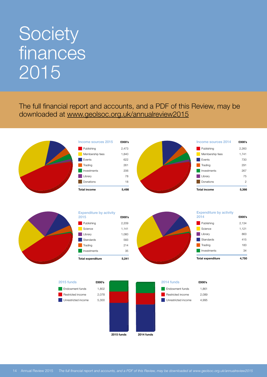## Society **finances** 2015

The full financial report and accounts, and a PDF of this Review, may be downloaded at www.geolsoc.org.uk/annualreview2015





| <b>Expenditure by activity</b><br>2015 | £000's |
|----------------------------------------|--------|
| Publishing                             | 2,209  |
| Science                                | 1.141  |
| Librarv                                | 1.060  |
| Standards                              | 583    |
| Trading                                | 214    |
| Investments                            | 35     |
| <b>Total expenditure</b>               | 5.2    |



| 2014                     | £000's |
|--------------------------|--------|
| Publishing               | 2,134  |
| Science                  | 1,121  |
| Library                  | 863    |
| Standards                | 415    |
| Trading                  | 183    |
| Investments              | 34     |
| <b>Total expenditure</b> | 4.750  |

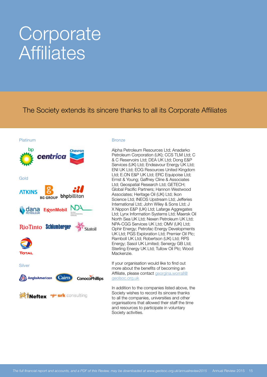### **Corporate Affiliates**

The Society extends its sincere thanks to all its Corporate Affiliates

#### Platinum



#### **Bronze**

Alpha Petroleum Resources Ltd; Anadarko Petroleum Corporation (UK); CCS TLM Ltd; C & C Reservoirs Ltd; DEA UK Ltd; Dong E&P Services (UK) Ltd; Endeavour Energy UK Ltd; ENI UK Ltd; EOG Resources United Kingdom Ltd; E.ON E&P UK Ltd; ERC Equipoise Ltd; Ernst & Young; Gaffney Cline & Associates Ltd; Geospatial Research Ltd; GETECH; Global Pacific Partners; Hannon Westwood Associates; Heritage Oil (UK) Ltd; Ikon Science Ltd; INEOS Upstream Ltd; Jefferies International Ltd; John Wiley & Sons Ltd; J X Nippon E&P (UK) Ltd; Lafarge Aggregates Ltd; Lynx Information Systems Ltd; Maersk Oil North Sea UK Ltd; Nexen Petroleum UK Ltd; NPA-CGG Services UK Ltd; OMV (UK) Ltd; Ophir Energy; Petrofac Energy Developments UK Ltd; PGS Exploration Ltd; Premier Oil Plc; Ramboll UK Ltd; Robertson (UK) Ltd; RPS Energy; Sasol UK Limited; Senergy GB Ltd; Sterling Energy UK Ltd; Tullow Oil Plc; Wood Mackenzie.

If your organisation would like to find out more about the benefits of becoming an Affiliate, please contact georgina.worrall@ geolsoc.org.uk

In addition to the companies listed above, the Society wishes to record its sincere thanks to all the companies, universities and other organisations that allowed their staff the time and resources to participate in voluntary Society activities.